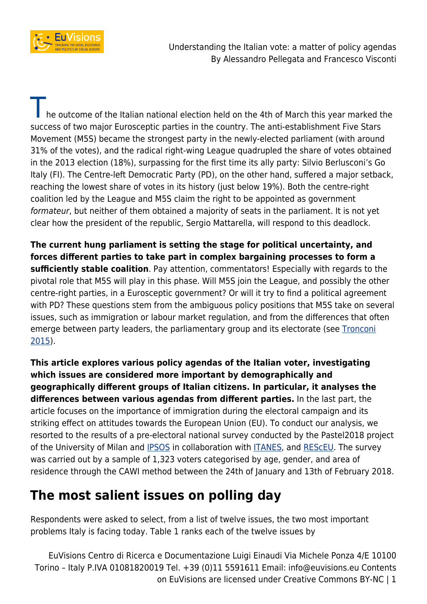

Understanding the Italian vote: a matter of policy agendas By Alessandro Pellegata and Francesco Visconti

The outcome of the Italian national election held on the 4th of March this year marked the success of two major Eurosceptic parties in the country. The anti-establishment Five Stars Movement (M5S) became the strongest party in the newly-elected parliament (with around 31% of the votes), and the radical right-wing League quadrupled the share of votes obtained in the 2013 election (18%), surpassing for the first time its ally party: Silvio Berlusconi's Go Italy (FI). The Centre-left Democratic Party (PD), on the other hand, suffered a major setback, reaching the lowest share of votes in its history (just below 19%). Both the centre-right coalition led by the League and M5S claim the right to be appointed as government formateur, but neither of them obtained a majority of seats in the parliament. It is not yet clear how the president of the republic, Sergio Mattarella, will respond to this deadlock.

**The current hung parliament is setting the stage for political uncertainty, and forces different parties to take part in complex bargaining processes to form a sufficiently stable coalition**. Pay attention, commentators! Especially with regards to the pivotal role that M5S will play in this phase. Will M5S join the League, and possibly the other centre-right parties, in a Eurosceptic government? Or will it try to find a political agreement with PD? These questions stem from the ambiguous policy positions that M5S take on several issues, such as immigration or labour market regulation, and from the differences that often emerge between party leaders, the parliamentary group and its electorate (see [Tronconi](https://www.bookdepository.com/Beppe-Grillos-Five-Star-Movement-Dr-Filippo-Tronconi/9781472436641) [2015\)](https://www.bookdepository.com/Beppe-Grillos-Five-Star-Movement-Dr-Filippo-Tronconi/9781472436641).

**This article explores various policy agendas of the Italian voter, investigating which issues are considered more important by demographically and geographically different groups of Italian citizens. In particular, it analyses the differences between various agendas from different parties.** In the last part, the article focuses on the importance of immigration during the electoral campaign and its striking effect on attitudes towards the European Union (EU). To conduct our analysis, we resorted to the results of a pre-electoral national survey conducted by the Pastel2018 project of the University of Milan and **IPSOS** in collaboration with **ITANES**, and RESCEU. The survey was carried out by a sample of 1,323 voters categorised by age, gender, and area of residence through the CAWI method between the 24th of January and 13th of February 2018.

## **The most salient issues on polling day**

Respondents were asked to select, from a list of twelve issues, the two most important problems Italy is facing today. Table 1 ranks each of the twelve issues by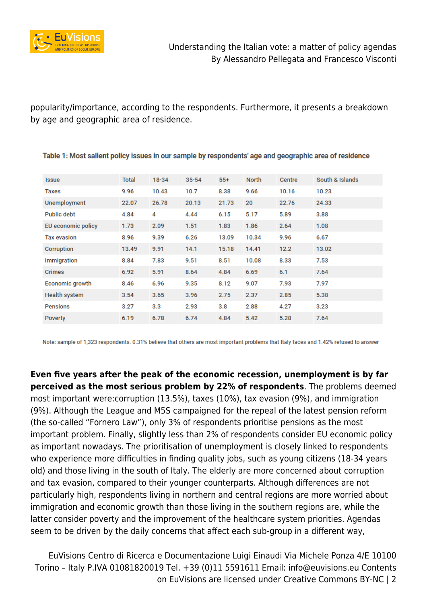

popularity/importance, according to the respondents. Furthermore, it presents a breakdown by age and geographic area of residence.

| <b>Issue</b>        | <b>Total</b> | $18 - 34$ | $35 - 54$ | $55+$ | <b>North</b> | Centre | South & Islands |
|---------------------|--------------|-----------|-----------|-------|--------------|--------|-----------------|
| Taxes               | 9.96         | 10.43     | 10.7      | 8.38  | 9.66         | 10.16  | 10.23           |
| <b>Unemployment</b> | 22.07        | 26.78     | 20.13     | 21.73 | 20           | 22.76  | 24.33           |
| <b>Public debt</b>  | 4.84         | 4         | 4.44      | 6.15  | 5.17         | 5.89   | 3.88            |
| EU economic policy  | 1.73         | 2.09      | 1.51      | 1.83  | 1.86         | 2.64   | 1.08            |
| <b>Tax evasion</b>  | 8.96         | 9.39      | 6.26      | 13.09 | 10.34        | 9.96   | 6.67            |
| Corruption          | 13.49        | 9.91      | 14.1      | 15.18 | 14.41        | 12.2   | 13.02           |
| Immigration         | 8.84         | 7.83      | 9.51      | 8.51  | 10.08        | 8.33   | 7.53            |
| <b>Crimes</b>       | 6.92         | 5.91      | 8.64      | 4.84  | 6.69         | 6.1    | 7.64            |
| Economic growth     | 8.46         | 6.96      | 9.35      | 8.12  | 9.07         | 7.93   | 7.97            |
| Health system       | 3.54         | 3.65      | 3.96      | 2.75  | 2.37         | 2.85   | 5.38            |
| <b>Pensions</b>     | 3.27         | 3.3       | 2.93      | 3.8   | 2.88         | 4.27   | 3.23            |
| Poverty             | 6.19         | 6.78      | 6.74      | 4.84  | 5.42         | 5.28   | 7.64            |

Table 1: Most salient policy issues in our sample by respondents' age and geographic area of residence

Note: sample of 1,323 respondents. 0.31% believe that others are most important problems that Italy faces and 1.42% refused to answer

**Even five years after the peak of the economic recession, unemployment is by far perceived as the most serious problem by 22% of respondents**. The problems deemed most important were:corruption (13.5%), taxes (10%), tax evasion (9%), and immigration (9%). Although the League and M5S campaigned for the repeal of the latest pension reform (the so-called "Fornero Law"), only 3% of respondents prioritise pensions as the most important problem. Finally, slightly less than 2% of respondents consider EU economic policy as important nowadays. The prioritisation of unemployment is closely linked to respondents who experience more difficulties in finding quality jobs, such as young citizens (18-34 years old) and those living in the south of Italy. The elderly are more concerned about corruption and tax evasion, compared to their younger counterparts. Although differences are not particularly high, respondents living in northern and central regions are more worried about immigration and economic growth than those living in the southern regions are, while the latter consider poverty and the improvement of the healthcare system priorities. Agendas seem to be driven by the daily concerns that affect each sub-group in a different way,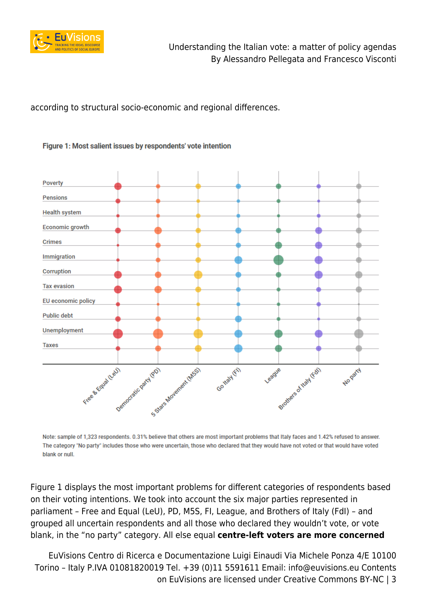

according to structural socio-economic and regional differences.

### Figure 1: Most salient issues by respondents' vote intention



Note: sample of 1,323 respondents. 0.31% believe that others are most important problems that Italy faces and 1.42% refused to answer. The category "No party" includes those who were uncertain, those who declared that they would have not voted or that would have voted blank or null.

Figure 1 displays the most important problems for different categories of respondents based on their voting intentions. We took into account the six major parties represented in parliament – Free and Equal (LeU), PD, M5S, FI, League, and Brothers of Italy (FdI) – and grouped all uncertain respondents and all those who declared they wouldn't vote, or vote blank, in the "no party" category. All else equal **centre-left voters are more concerned**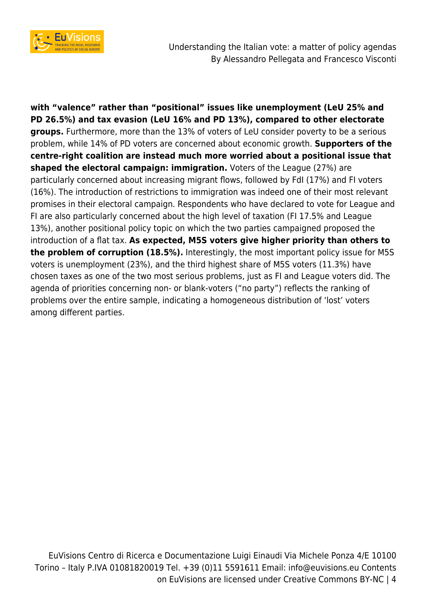

Understanding the Italian vote: a matter of policy agendas By Alessandro Pellegata and Francesco Visconti

**with "valence" rather than "positional" issues like unemployment (LeU 25% and PD 26.5%) and tax evasion (LeU 16% and PD 13%), compared to other electorate groups.** Furthermore, more than the 13% of voters of LeU consider poverty to be a serious problem, while 14% of PD voters are concerned about economic growth. **Supporters of the centre-right coalition are instead much more worried about a positional issue that shaped the electoral campaign: immigration.** Voters of the League (27%) are particularly concerned about increasing migrant flows, followed by FdI (17%) and FI voters (16%). The introduction of restrictions to immigration was indeed one of their most relevant promises in their electoral campaign. Respondents who have declared to vote for League and FI are also particularly concerned about the high level of taxation (FI 17.5% and League 13%), another positional policy topic on which the two parties campaigned proposed the introduction of a flat tax. **As expected, M5S voters give higher priority than others to the problem of corruption (18.5%).** Interestingly, the most important policy issue for M5S voters is unemployment (23%), and the third highest share of M5S voters (11.3%) have chosen taxes as one of the two most serious problems, just as FI and League voters did. The agenda of priorities concerning non- or blank-voters ("no party") reflects the ranking of problems over the entire sample, indicating a homogeneous distribution of 'lost' voters among different parties.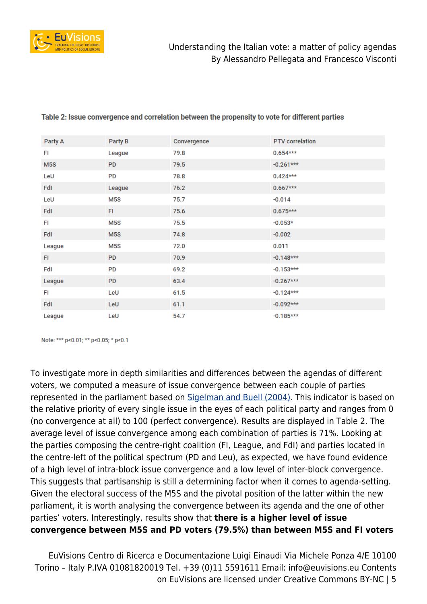

| Party A | Party B          | Convergence | <b>PTV</b> correlation |
|---------|------------------|-------------|------------------------|
| FI      | League           | 79.8        | $0.654***$             |
| M5S     | <b>PD</b>        | 79.5        | $-0.261$ ***           |
| LeU     | <b>PD</b>        | 78.8        | $0.424***$             |
| FdI     | League           | 76.2        | $0.667***$             |
| LeU     | M5S              | 75.7        | $-0.014$               |
| FdI     | FI.              | 75.6        | $0.675***$             |
| FI      | M5S              | 75.5        | $-0.053*$              |
| FdI     | M <sub>5</sub> S | 74.8        | $-0.002$               |
| League  | M5S              | 72.0        | 0.011                  |
| FI      | <b>PD</b>        | 70.9        | $-0.148$ ***           |
| FdI     | <b>PD</b>        | 69.2        | $-0.153***$            |
| League  | <b>PD</b>        | 63.4        | $-0.267$ ***           |
| FI      | LeU              | 61.5        | $-0.124***$            |
| FdI     | LeU              | 61.1        | $-0.092$ ***           |
| League  | LeU              | 54.7        | $-0.185***$            |

#### Table 2: Issue convergence and correlation between the propensity to vote for different parties

Note: \*\*\* p<0.01; \*\* p<0.05; \* p<0.1

To investigate more in depth similarities and differences between the agendas of different voters, we computed a measure of issue convergence between each couple of parties represented in the parliament based on [Sigelman and Buell \(2004\)](http://www.unc.edu/~fbaum/teaching/articles/Sigelman_AJPS_2004.pdf). This indicator is based on the relative priority of every single issue in the eyes of each political party and ranges from 0 (no convergence at all) to 100 (perfect convergence). Results are displayed in Table 2. The average level of issue convergence among each combination of parties is 71%. Looking at the parties composing the centre-right coalition (FI, League, and FdI) and parties located in the centre-left of the political spectrum (PD and Leu), as expected, we have found evidence of a high level of intra-block issue convergence and a low level of inter-block convergence. This suggests that partisanship is still a determining factor when it comes to agenda-setting. Given the electoral success of the M5S and the pivotal position of the latter within the new parliament, it is worth analysing the convergence between its agenda and the one of other parties' voters. Interestingly, results show that **there is a higher level of issue convergence between M5S and PD voters (79.5%) than between M5S and FI voters**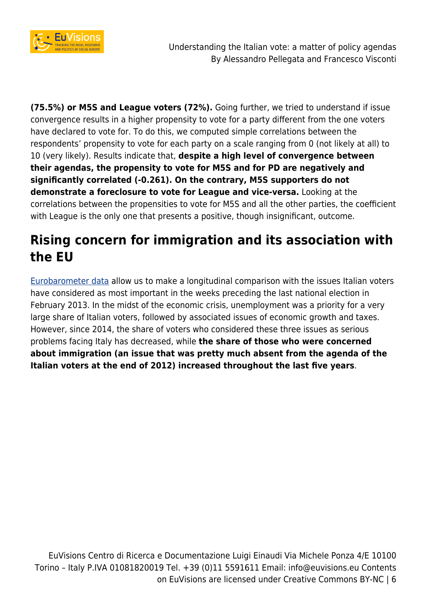

**(75.5%) or M5S and League voters (72%).** Going further, we tried to understand if issue convergence results in a higher propensity to vote for a party different from the one voters have declared to vote for. To do this, we computed simple correlations between the respondents' propensity to vote for each party on a scale ranging from 0 (not likely at all) to 10 (very likely). Results indicate that, **despite a high level of convergence between their agendas, the propensity to vote for M5S and for PD are negatively and significantly correlated (-0.261). On the contrary, M5S supporters do not demonstrate a foreclosure to vote for League and vice-versa.** Looking at the correlations between the propensities to vote for M5S and all the other parties, the coefficient with League is the only one that presents a positive, though insignificant, outcome.

# **Rising concern for immigration and its association with the EU**

[Eurobarometer data](http://ec.europa.eu/commfrontoffice/publicopinion/index.cfm/Chart/getChart/chartType/lineChart/themeKy/42/groupKy/208/savFile/54) allow us to make a longitudinal comparison with the issues Italian voters have considered as most important in the weeks preceding the last national election in February 2013. In the midst of the economic crisis, unemployment was a priority for a very large share of Italian voters, followed by associated issues of economic growth and taxes. However, since 2014, the share of voters who considered these three issues as serious problems facing Italy has decreased, while **the share of those who were concerned about immigration (an issue that was pretty much absent from the agenda of the Italian voters at the end of 2012) increased throughout the last five years**.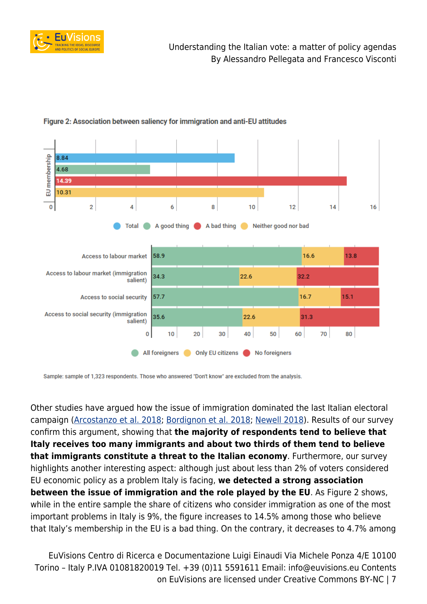



## Figure 2: Association between saliency for immigration and anti-EU attitudes

Sample: sample of 1,323 respondents. Those who answered "Don't know" are excluded from the analysis.

Other studies have argued how the issue of immigration dominated the last Italian electoral campaign [\(Arcostanzo et al. 2018](http://www.euvisions.eu/elections-macerata-immigration/); [Bordignon et al. 2018](http://speri.dept.shef.ac.uk/2018/03/02/the-politics-of-fear-how-immigration-is-dominating-the-italian-election-campaign/); [Newell 2018](http://blogs.lse.ac.uk/europpblog/2018/03/12/understanding-the-role-of-immigration-in-the-italian-election-result/)). Results of our survey confirm this argument, showing that **the majority of respondents tend to believe that Italy receives too many immigrants and about two thirds of them tend to believe that immigrants constitute a threat to the Italian economy**. Furthermore, our survey highlights another interesting aspect: although just about less than 2% of voters considered EU economic policy as a problem Italy is facing, **we detected a strong association between the issue of immigration and the role played by the EU**. As Figure 2 shows, while in the entire sample the share of citizens who consider immigration as one of the most important problems in Italy is 9%, the figure increases to 14.5% among those who believe that Italy's membership in the EU is a bad thing. On the contrary, it decreases to 4.7% among